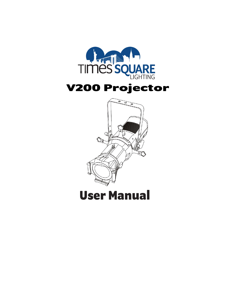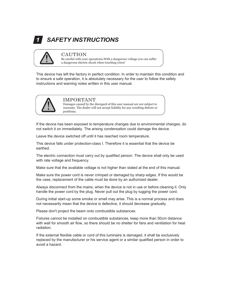## **SAFETY INSTRUCTIONS**



### CAUTION

**SAFETY INSTRUCTIONS**<br> **Be careful with your operations. With a dangerous voltage you can suffer**<br> **a dangerous electric shock when touching wires!** ETY INSTRUCTIONS<br>CAUTION<br>Be careful with your operations. With a dangerous voltage you can suffer<br>a dangerous electric shock when touching wires!

ETY INSTRUCTIONS<br>
CAUTION<br>
Be careful with your operations. With a dangerous voltage you can suffer<br>
a dangerous electric shock when touching wires!<br>
S left the factory in perfect condition. In order to maintain this condi **SAFETY INSTRUCTIONS**<br> **EXECUTION**<br> **EXECUTION**<br> **EXECUTION**<br> **EXECUTION**<br> **EXECUTION**<br> **EXECUTION**<br> **EXECUTION**<br> **EXECUTION**<br> **EXECUTION**<br> **EXECUTION**<br> **EXECUTION**<br> **EXECUTION**<br> **EXECUTION**<br> **EXECUTION**<br> **EXECUTION**<br> **EXE to example of the SAFETY INSTRUCTIONS**<br>
Be careful with your operations. With a dangerous voltage you can suffer<br>
a dangerous electric shock when touching wires!<br>
This device has left the factory in perfect condition. In **SAFETY INSTRUCTIONS**<br> **CAUTION**<br>
Be careful with your operations. With a dangerous voltage you can suffer<br>
This device has left the factory in perfect condition. In order to maintain this condition<br>
to ensure a safe opera This device has left the factory in perfect condition. In order to maintain this condition and<br>to ensure a safe operation, it is absolutely necessary for the user to follow the safety<br>instructions and warning notes written This device has left the factory in perfect condition. In order to maintain this condition and<br>to ensure a safe operation, it is absolutely necessary for the user to follow the safety<br>instructions and warning notes written dangerous electric shock when touching wires!<br>
<br>
left the factory in perfect condition. In order to maintain this condition and<br>
operation, it is absolutely necessary for the user to follow the safety<br>
warning notes writte warranty. The dealer will not accept liability for any resulting defects or problems.<br>
The dealer will not accept liability for the user to follow the safety<br>
MPORTANT<br>
Damages caused by the disregard of this user manual a



 $\rm IMPORTANT$ <br>Damages caused by the disregard of this user manual are not subject to problems.

Instructions and warning notes written in this user manual.<br>
IMPORTANT<br>
Damage caused by the disregard of this user manual are not subject to<br>
warranty. The dealer will not accept liability for any resulting defects or<br>
If THE DRIGE CONSIDED AND DAMALL DAMAGES CONSIDER THE DAMAGES CONSIDER MATTAIN. The dealer will not accept liability for any resulting defects or problems.<br>
If the device has been exposed to temperature changes due to environ The connection must carry out by qualified person. The device shall only be used in the device has been exposed to temperature changes due to environmental changes, do not switch it on immediately. The arising condensation warranty. The dealer will not accept liability for a<br>problems.<br>If the device has been exposed to temperature changes<br>not switch it on immediately. The arising condensation of<br>Leave the device switched off until it has reac Make sure that the available voltage is not higher that the available voltage is not the cavality of the available voltage is not the available voltage is not the end of the end of the end of the end of the end of the end If the device has been exposed to temperature changes due to environmental changes, do<br>not switch it on immediately. The arising condensation could damage the device.<br>Leave the device switched off until it has reached room

earthed.

The case, replacement of the cable must be done by an authorized dealer.<br>
Deave the device switched off until it has reached room temperature.<br>
This device falls under protection-class I. Therefore it is essential that the Leave the device switched off until it has reached room temperature.<br>This device falls under protection-class I. Therefore it is essential that the device be<br>earthed.<br>The electric connection must carry out by qualified per Leave the device switched on until it has reached foom temperature.<br>This device falls under protection-class I. Therefore it is essential that the device be<br>earthed.<br>The electric connection must carry out by qualified pers First accrease that the accrease in Theretore it is essential that the device be<br>earthed.<br>The electric connection must carry out by qualified person. The device shall only be used<br>with rate voltage and frequency.<br>Make sure Example in the device shall only be used<br>with rate voltage and frequency.<br>Make sure that the available voltage is not higher than stated at the end of this manual.<br>Make sure the power cord is never crimped or damaged by sh

The electric conflection must carry out by qualified person. The device shall only b<br>with rate voltage and frequency.<br>Make sure that the available voltage is not higher than stated at the end of this ma<br>Make sure the power Make sure that the available voltage is not higher than stated at the end of this manual.<br>
Make sure the power cord is never crimped or damaged by sharp edges. If this would be<br>
the case, replacement of the cable must be d Make sure that the avaliable voltage is not ingirer than stated at the end of this intariual.<br>
Make sure the power cord is never crimped or damaged by sharp edges. If this would be<br>
flow, a the case, replacement of the cab radiation. If the external flexible cable or cord of this luminaire is damaged, it shall be exclusively a hazard.<br>
Always disconnect from the mains, when the device is not in use or before cleaning it. Only<br>
handle the power cord by Always disconnect from the mains, when the device is not in use or before cleaning it. Only<br>handle the power cord by the plug. Never pull out the plug by tugging the power cord.<br>During initial start-up some smoke or smell handle the power cord by the plug. Never<br>During initial start-up some smoke or sme<br>not necessarily mean that the device is de<br>Please don't project the beam onto combu<br>Fixtures cannot be installed on combustib<br>with wall for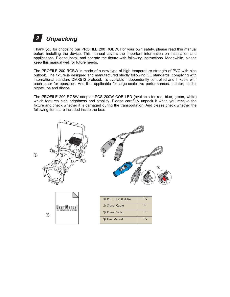# *Unpacking 2*

**2 Unpacking**<br>Thank you for choosing our PROFILE 200 RGBW. For your own safety, please read this manual<br>before installing the device. This manual covers the important information on installation and<br>applications. Please **before installing the device. The device installing the device in the important information of choosing our PROFILE 200 RGBW. For your own safety, please read this manual applications . Please install and operate the fixt 2. Unpacking**<br>Thank you for choosing our PROFILE 200 RGBW. For your own safety, please read this manual<br>before installing the device. This manual covers the important information on installation and<br>applications. Please i **2 Unpacking**<br>Thank you for choosing our PROFILE 200 RGBW. For your own<br>before installing the device. This manual covers the important<br>applications. Please install and operate the fixture with following<br>keep this manual we

**2. Unpacking**<br>Thank you for choosing our PROFILE 200 RGBW. For your own safety, please read this manual<br>applications. Please install and operate the fixture with following instructions. Meanwhile, please<br>keep this manual **2 Unpacking**<br>Thank you for choosing our PROFILE 200 RGBW. For your own safety, please read this manual<br>before installing the device. This manual covers the important information on installation and<br>applications. Please in **2. Unpacking**<br> **International Standard Standard DMX512**<br> **International Standard Defore installing the device. This manual covers the important information on installation and<br>
applications. Please install and operate the 2 Unpacking**<br> **Thank you for choosing our PROFILE 200 RGBW. For your own safety, please read this manual<br>
applications. Please install and operate the fixture with following instructions. Meanwhile, please<br>
keep this manu 2 Unpacking**<br>Thank you for choosing our PROFILE 200 RGB<br>before installing the device. This manual cover<br>applications. Please install and operate the fixtu<br>keep this manual well for future needs.<br>The PROFILE 200 RGBW is ma Thank you for choosing our PROFILE 200 RGBW. For your own safety, please read this manual<br>before installing the device. This manual covers the important information on installation and<br>applications. Please install and oper Thank you for choosing our PROFILE 200 RGBW. For your own safety, please read this manual<br>before installing the device. This manual covers the important information on installation and<br>applications. Please install and oper Fixture and check whether it is damaged during the transportation. And please check whether the following items are included inside the fixture with following instructions. Meanwhile, please keep this manual well for futur Expecter installing the case. This manual covers are important information applications. Please install and operate the fixture with following instructions were the fixture is designed and manufactured strictly following C

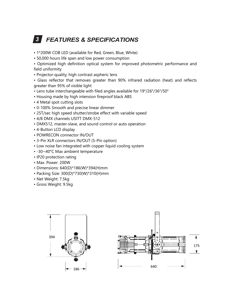# **3** FEATURES & SPECIFICATIONS

- 
- 

**FEATURES & SPECIFICATIONS**<br>DW COB LED (available for Red, Green, Blue, White)<br><sup>0</sup> hours life span and low power consumption<br>mized high definition optical system for improved photometric performance and<br>niformity **FEATURES & SPECIFICATIONS**<br>• 1\*200W COB LED (available for Red, Green, Blue, White)<br>• 50,000 hours life span and low power consumption<br>• Optimized high definition optical system for improved photometric perform<br>field unif

**FEATURES & SPECIFICATIONS**<br>• 1\*200W COB LED (available for Red, Green, Blue, White)<br>• 50,000 hours life span and low power consumption<br>• Optimized high definition optical system for improved photometric perfor<br>field unifo **• FEATURES & SPECIFICATIONS**<br>• 1\*200W COB LED (available for Red, Green, Blue, White)<br>• 50,000 hours life span and low power consumption<br>• Optimized high definition optical system for improved photometric performance and<br> **FEATURES & SPE**<br>
• 1\*200W COB LED (available for Rec<br>
• 50,000 hours life span and low pov<br>
• Optimized high definition optical<br>
field uniformity<br>
• Projector-quality, high contrast asp<br>
• Glass reflector that removes gre **FEATURES & SPECIFICATIONS**<br>
• 1\*200W COB LED (available for Red, Green, Blue, White)<br>
• 50,000 hours life span and low power consumption<br>
• Optimized high definition optical system for improved photometric<br>
field uniformi **• FEATURES & SPECIFICATIONS**<br>• 1\*200W COB LED (available for Red, Green, Blue, White)<br>• 50,000 hours life span and low power consumption<br>• Optimized high definition optical system for improved photometric performance and<br> **3 FEATURES & SPECIFICATIONS**<br> **CONSTREMONATIONS**<br> **CONSTREMONATIONS**<br> **CONSTREMONATIONS**<br> **CONSTREMONATIONS**<br> **CONSTREMONATIONS**<br> **CONSTREMONATIONS**<br> **CONSTREMONATIONS**<br> **CONSTREMONATIONS**<br> **CONSTREMONATIONS**<br> **CONSTREMON FEATURES & SPECIFICATIONS**<br>
• 1\*200W COB LED (available for Red, Green, Blue, White)<br>
• 50,000 hours life span and low power consumption<br>
• Optimized high definition optical system for improved photometric performance and • 1\*200W COB LED (available for Red, Green, Blue, White)<br>• 50,000 hours life span and low power consumption<br>• Optimized high definition optical system for improved photometric perform<br>field uniformity<br>• Projector-quality, • 1\*200W COB LED (available for Red, Green, Blue, W<br>• 50,000 hours life span and low power consumption<br>• Optimized high definition optical system for imp<br>field uniformity<br>• Projector-quality, high contrast aspheric lens<br>• • 50,000 hours life span and low power consumption<br>• Optimized high definition optical system for improved photon<br>field uniformity<br>• Projector-quality, high contrast aspheric lens<br>• Glass reflector that removes greater tha • Optimized high definition optical system for improved photometric performance are field uniformity<br>• Projector-quality, high contrast aspheric lens<br>• Glass reflector that removes greater than 90% infrared radiation (heat field uniformity<br>
• Projector-quality, high contrast aspheric lens<br>
• Glass reflector that removes greater than 90% infrared<br>
greater than 95% of visible light<br>
• Lens tube interchangeable with filed angles available for 1 • Projector-quality, high contrast aspheric lens<br>• Glass reflector that removes greater than 90% infrared radiation (heat) and refligreater than 95% of visible light<br>• Lens tube interchangeable with filed angles available • Glass reflector that removes greater than<br>greater than 95% of visible light<br>• Lens tube interchangeable with filed angles<br>• Housing made by high intension fireproof b<br>• 4 Metal spot cutting slots<br>• 0-100% Smooth and pre greater than 95% of visible light<br>
• Lens tube interchangeable with filed angles available f<br>
• Housing made by high intension fireproof black ABS<br>
• 4 Metal spot cutting slots<br>
• 0-100% Smooth and precise linear dimmer<br>
•

- Lens tube interchangeable with filed angles available for 19°/26°/3<br>• Housing made by high intension fireproof black ABS<br>• 4 Metal spot cutting slots<br>• 0-100% Smooth and precise linear dimmer<br>• 25T/sec high speed shutte
- 
- 
- 
- Housing made by high intension freproof black ABS<br>• 4 Metal spot cutting slots<br>• 0-100% Smooth and precise linear dimmer<br>• 25T/sec high speed shutter/strobe effect with variable speed<br>• A/8 DMX channels USITT DMX-512<br>• D • 4 Metal spot cutting slots<br>• 0-100% Smooth and precise linear dimmer<br>• 25T/sec high speed shutter/strobe effect with variable spee<br>• 4/8 DMX channels USITT DMX-512<br>• DMX512, master-slave, and sound control or auto operat • 0-100% Smooth and precise linear dimmer<br>• 25T/sec high speed shutter/strobe effect with v<br>• 4/8 DMX channels USITT DMX-512<br>• DMX512, master-slave, and sound control or au<br>• 4-Button LCD display<br>• POWRECON connector IN/O • 25T/sec high speed shutter/strobe effect with variable spee<br>• 4/8 DMX channels USITT DMX-512<br>• DMX512, master-slave, and sound control or auto operatio<br>• 4-Button LCD display<br>• POWRECON connector IN/OUT<br>• 3-Pin XLR conne
- 
- 4/8 DMX channels USITT DMX-512<br>• DMX512, master-slave, and sound control or auto operation<br>• 4-Button LCD display<br>• POWRECON connector IN/OUT<br>• 3-Pin XLR connectors IN/OUT (5-Pin option)<br>• Low noise fan integrated with c • DMX512, master-slave, and sound control or auto operation<br>• 4-Button LCD display<br>• POWRECON connector IN/OUT<br>• 3-Pin XLR connectors IN/OUT (5-Pin option)<br>• Low noise fan integrated with copper liquid cooling system<br>• -30
- 
- 
- 4-Button LCD display<br>• POWRECON connector IN/OUT<br>• 3-Pin XLR connectors IN/OUT (5-Pin option<br>• Low noise fan integrated with copper liquid<br>• -30~40°C Max ambient temperature<br>• IP20 protection rating<br>• Max. Power: 200W<br>•
- POWRECON connector IN/OUT<br>• 3-Pin XLR connectors IN/OUT (5-Pin option)<br>• Low noise fan integrated with copper liquid c<br>• -30~40°C Max ambient temperature<br>• IP20 protection rating<br>• Max. Power: 200W<br>• Dimensions: 640(D)\*1
- 
- 
- 
- 
- 
- 
- 



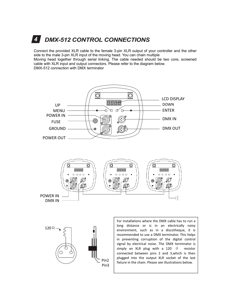# **4 DMX-512 CONTROL CONNECTIONS**

*DMX-512 CONTROL CONNECTIONS*<br>
or the provided XLR cable to the female 3-pin XLR output of your controller and the other<br>
the male 3-pin XLR input of the moving head. You can chain multiple<br>  $\mu$  head together through seri **CONTROL CONNECTIONS**<br>Connect the provided XLR cable to the female 3-pin XLR output of your controller and the other<br>side to the male 3-pin XLR input of the moving head. You can chain multiple<br>Moving head together through **Side to the male 3-pin XLR contries CONNECTIONS**<br>Connect the provided XLR cable to the female 3-pin XLR output of your controller and the other<br>side to the male 3-pin XLR input of the moving head. You can chain multiple<br>M **4** DMX-512 CONTROL CONNECTIONS<br>Connect the provided XLR cable to the female 3-pin XLR output of your controller and the other<br>side to the male 3-pin XLR input of the moving head. You can chain multiple<br>Moving head togethe **CONTROL CONNECTIONS**<br>
Connect the provided XLR cable to the female 3-pin XLR output of your controller and the other<br>
side to the male 3-pin XLR input of the moving head. You can chain multiple<br>
Moving head together throu 4. **DMX-512 CONTROL CONNECTION**<br>Connect the provided XLR cable to the female 3-pin XLR output<br>side to the male 3-pin XLR input of the moving head. You can cha<br>Moving head together through serial linking. The cable needed<br>c



Pin3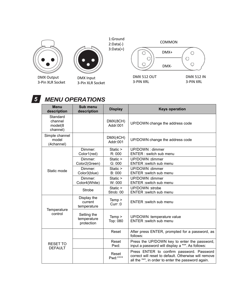





### *5*

|                                            |                                          | 1:Ground<br>$2:Data(-)$<br>$3:Data(+)$ | COMMON                                                                                                                                                  |  |
|--------------------------------------------|------------------------------------------|----------------------------------------|---------------------------------------------------------------------------------------------------------------------------------------------------------|--|
|                                            |                                          |                                        | DMX+<br>О<br>O<br>DMX-                                                                                                                                  |  |
| <b>MX Output</b><br>Pin XLR Socket         | <b>DMX Input</b><br>3-Pin XLR Socket     |                                        | <b>DMX 512 OUT</b><br><b>DMX 512 IN</b><br>3-PIN XRL<br>3-PIN XRL                                                                                       |  |
| <b>Menu</b>                                | <b>MENU OPERATIONS</b><br>Sub menu       |                                        |                                                                                                                                                         |  |
| description                                | description                              | <b>Display</b>                         | <b>Keys operation</b>                                                                                                                                   |  |
| Standard<br>channel<br>model(8<br>channel) |                                          | DMX(8CH)<br>Addr:001                   | UP/DOWN change the address code                                                                                                                         |  |
| Simple channel<br>model<br>(4channel)      |                                          | DMX(4CH)<br>Addr:001                   | UP/DOWN change the address code                                                                                                                         |  |
|                                            | Dimmer:<br>Color1(red)                   | Static ><br>R: 000                     | UP/DOWN: dimmer<br>ENTER : switch sub menu                                                                                                              |  |
|                                            | Dimmer:<br>Color2(Green)                 | Static ><br>G: 000                     | UP/DOWN : dimmer<br>ENTER : switch sub menu                                                                                                             |  |
| Static mode                                | Dimmer:<br>Color3(blue)                  | Static ><br>B: 000                     | UP/DOWN : dimmer<br>ENTER : switch sub menu                                                                                                             |  |
|                                            | Dimmer:<br>Color4(White)                 | Static ><br>W: 000                     | UP/DOWN : dimmer<br>ENTER : switch sub menu                                                                                                             |  |
|                                            | Strobe                                   | Static ><br>Strob: 00                  | UP/DOWN :strobe<br>ENTER : switch sub menu                                                                                                              |  |
| Temperature<br>control                     | Display the<br>current<br>temperature    | Temp ><br>Curr :0                      | ENTER : switch sub menu                                                                                                                                 |  |
|                                            | Setting the<br>temperature<br>protection | Temp ><br>Top: 080                     | UP/DOWN :temperature value<br>ENTER : switch sub menu                                                                                                   |  |
| RESET TO<br><b>DEFAULT</b>                 |                                          | Reset                                  | After press ENTER, prompted for a password, as<br>follows:                                                                                              |  |
|                                            |                                          | Reset<br>Pwd:                          | Press the UP/DOWN key to enter the password,<br>input a password will display a "*". As follows:                                                        |  |
|                                            |                                          | Reset<br>Pwd:****                      | Press ENTER to confirm password. Password<br>correct will reset to default. Otherwise will remove<br>all the "*", in order to enter the password again. |  |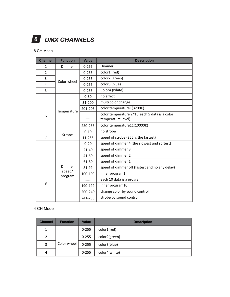|                | <b>DMX CHANNELS</b>         |                    |                                                                  |
|----------------|-----------------------------|--------------------|------------------------------------------------------------------|
|                |                             |                    |                                                                  |
| 8 CH Mode      |                             |                    |                                                                  |
| <b>Channel</b> | <b>Function</b>             | <b>Value</b>       | <b>Description</b>                                               |
| $\mathbf{1}$   | Dimmer                      | $0 - 255$          | Dimmer                                                           |
| $\overline{2}$ | Color wheel                 | $0 - 255$          | color1 (red)                                                     |
| 3              |                             | $0 - 255$          | color2 (green)                                                   |
| 4              |                             | $0 - 255$          | color3 (blue)                                                    |
| 5              |                             | $0 - 255$          | Color4 (white)                                                   |
|                |                             | $0 - 30$           | no effect                                                        |
|                |                             | 31-200             | multi color change                                               |
|                | Temperature                 | 201-205            | color temperature1(3200K)                                        |
| 6              |                             |                    | color temperature 2~10(each 5 data is a color                    |
|                |                             |                    | temperature level)                                               |
|                |                             | 250-255            | color temperature11(10000K)                                      |
|                | Strobe                      | $0 - 10$           | no strobe                                                        |
| $\overline{7}$ |                             | 11-255             | speed of strobe (255 is the fastest)                             |
|                |                             | $0 - 20$           | speed of dimmer 4 (the slowest and softest)<br>speed of dimmer 3 |
|                | Dimmer<br>speed/<br>program | $21 - 40$<br>41-60 | speed of dimmer 2                                                |
|                |                             | 61-80              | speed of dimmer 1                                                |
|                |                             | 81-99              | speed of dimmer off (fastest and no any delay)                   |
|                |                             | 100-109            | inner program1                                                   |
|                |                             |                    | each 10 data is a program                                        |
| 8              |                             | 190-199            | inner program10                                                  |
|                |                             | 200-240            | change color by sound control                                    |
|                |                             |                    | strobe by sound control                                          |
|                |                             |                    |                                                                  |
| 4 CH Mode      |                             | 241-255            |                                                                  |
|                |                             |                    |                                                                  |
| <b>Channel</b> | <b>Function</b>             | <b>Value</b>       | <b>Description</b>                                               |
|                |                             |                    |                                                                  |

|                |                 | 190-199      | inner program10               |
|----------------|-----------------|--------------|-------------------------------|
|                |                 | 200-240      | change color by sound control |
|                |                 | 241-255      | strobe by sound control       |
| CH Mode        |                 |              |                               |
|                | <b>Function</b> |              |                               |
| <b>Channel</b> |                 | <b>Value</b> | <b>Description</b>            |
| $\mathbf{1}$   |                 | $0 - 255$    | color1(red)                   |
| $\overline{2}$ |                 | $0 - 255$    | color2(green)                 |
| 3              | Color wheel     | $0 - 255$    | color3(blue)                  |
| 4              |                 | $0 - 255$    | color4(white)                 |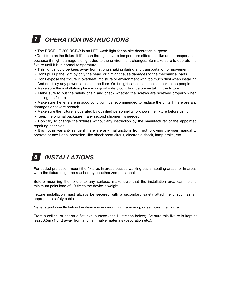# **7 OPERATION INSTRUCTIONS**

*OPERATION INSTRUCTIONS*<br>
PROFILE 200 RGBW is an LED wash light for on-site decoration purpose.<br>
It turn on the fixture if it's been through severe temperature difference like after transportation<br>
se it might damage the l **COPERATION INSTRUCTIONS**<br>•The PROFILE 200 RGBW is an LED wash light for on-site decoration purpose.<br>•Don't turn on the fixture if it's been through severe temperature difference like after transportation<br>because it might **OPERATION INSTRUCTIONS**<br>
• The PROFILE 200 RGBW is an LED wash light for on-site decoration purpose.<br>
• Don't turn on the fixture if it's been through severe temperature difference like after transportation<br>
because it mi **COPERATION INSTRUCTIONS**<br>
The PROFILE 200 RGBW is an LED wash light for on-site decoration purpose.<br>
Don't turn on the fixture if it's been through severe temperature difference like after transportation<br>
because it might **TOPERATION INSTRUCTIONS**<br>
The PROFILE 200 RGBW is an LED wash light for on-site decoration purpose.<br>
Don't turn on the fixture if it's been through severe temperature difference like after transportation<br>
because it might installing the fixture. The PROFILE 200 RGBW is an LED wash light for on-site decoration purpose.<br>
• Don't turn on the fixture if it's been through severe temperature difference like after transportation<br>
because it might • Non't kin in complete the light due to the environment of the many than the member of the solution of the fittere if it's been through severe temperature difference like after transportation because it might damage the l

**Fraction** and the model of the model of the model of the model of the mechanical parts.<br>
• Don't pull up the light by only the head, or it might cause damages to the mechanical parts.<br>
• Don't expose the fixture in overhe • Don't spose the latter in verthered, investive or environment want counter user when instanting the fixture.<br>
• Make sure the installation place is in good safety condition before installing the fixture.<br>
• Make sure to For the original packages if any second shipment is needed.<br>
For a bon't ty to change the fixtures without any instruction by the manufacturer or the appointed<br>
For its instant protection mount area expansion and the shock Were the fixture were the fixtures without any instruction by the manufacturer or the reaching agencies.<br>
We reach the fixtures without any instruction by the manufacturer or the reaching agencies.<br>
We reached by unauthori For its not in warranty range if there are any malfunctions from not following the user manual to<br>operate or any illegal operation, like shock short circuit, electronic shock, lamp broke, etc.<br> **BEFORE THE INSTALLATIONS**<br>

### *INSTALLATIONS 8*

• It is not in warranty range in there are any manufictions from not following<br>operate or any illegal operation, like shock short circuit, electronic shock, lamp<br>operate or any illegal operation, like shock short circuit, **S**<br>For added protection mount the fixtures in areas outside walking paths, seating areas, or in areas<br>were the fixture might be reached by unauthorized personnel.<br>Before mounting the fixture to any surface, make sure that **8 INSTALLATIONS**<br>For added protection mount the fixtures in areas out<br>were the fixture might be reached by unauthorized po<br>Before mounting the fixture to any surface, make<br>minimum point load of 10 times the device's wei **S**<br> **SECUTE THE SECUTE THE SECUTE SECUTE:**<br>
For added protection mount the fixtures in areas outside walking paths, seating areas, or in areas<br>
Nefore mounting the fixture to any surface, make sure that the installation a —<br>For added protection mount the fixtures in areas outside walking paths, seating areas, or in areas<br>were the fixture might be reached by unauthorized personnel.<br>Before mounting the fixture to any surface, make sure that t For added protection mount the fixtures in areas outside walking paths, seating areas, or in areas<br>were the fixture might be reached by unauthorized personnel.<br>Before mounting the fixture to any surface, make sure that the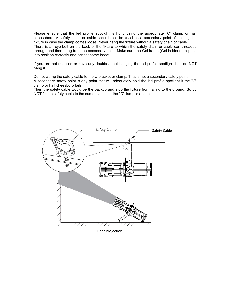Please ensure that the led profile spotlight is hung using the appropriate "C" clamp or half<br>cheeseboro. A safety chain or cable should also be used as a secondary point of holding the<br>fixture in case the clamp comes loose Please ensure that the led profile spotlight is hung using the appropriate "C" clamp or half cheeseboro. A safety chain or cable should also be used as a secondary point of holding the fixture in case the clamp comes loose Please ensure that the led profile spotlight is hung using the appropriate "C" clamp or half cheeseboro. A safety chain or cable should also be used as a secondary point of holding the fixture in case the clamp comes loose Please ensure that the led profile spotlight is hung using the appropriate "C" clamp or half cheeseboro. A safety chain or cable should also be used as a secondary point of holding the fixture in case the clamp comes loose Please ensure that the led profile spotlight is hung using the appropriate "C" clamp or half cheeseboro. A safety chain or cable should also be used as a secondary point of holding the fixture in case the clamp comes loose Please ensure that the led profile spotlight is hung using the approp<br>cheeseboro. A safety chain or cable should also be used as a second<br>fixture in case the clamp comes loose. Never hang the fixture without a sa<br>There is Please ensure that the led profile spotlight is hung using the appropriate "C" clamp or half<br>cheeseboro. A safety chain or cable should also be used as a secondary point of holding the<br>fixture in case the clamp comes loose Please ensure that the led profile sp<br>cheeseboro. A safety chain or cable s<br>fixture in case the clamp comes loose. I<br>There is an eye-bolt on the back of th<br>through and then hung from the seconc<br>into position correctly and Please ensure that the led profile spotlight is hung using the appropriate "C" clamp or half cheeseboro. A safety chain or cable should also be used as a secondary point of holding the fixture in case the clamp comes loose Please ensure that the led profile spotlight is hung using the appropriate "C" clamp or half cheeseboro. A safety chain or cable should also be used as a secondary point of holding the fixture in case the clamp comes loose Please ensure that the led profile spotlight is hung us<br>cheeseboro. A safety chain or cable should also be use<br>fixture in case the clamp comes loose. Never hang the fixt<br>There is an eye-bolt on the back of the fixture to w Trease choro. A safety chain or cable should also be used as a secondary point of holding the fixture in case the clamp comes loose. Never hang the fixture without a safety chain or cable.<br>There is an eye-bott on the back oncessions. The safety cable to the same of ease as a secondary point of interaction in the safety chain or cable.<br>There is an eye-bolt on the back of the fixture to which the safety chain or cable can threaded<br>through and